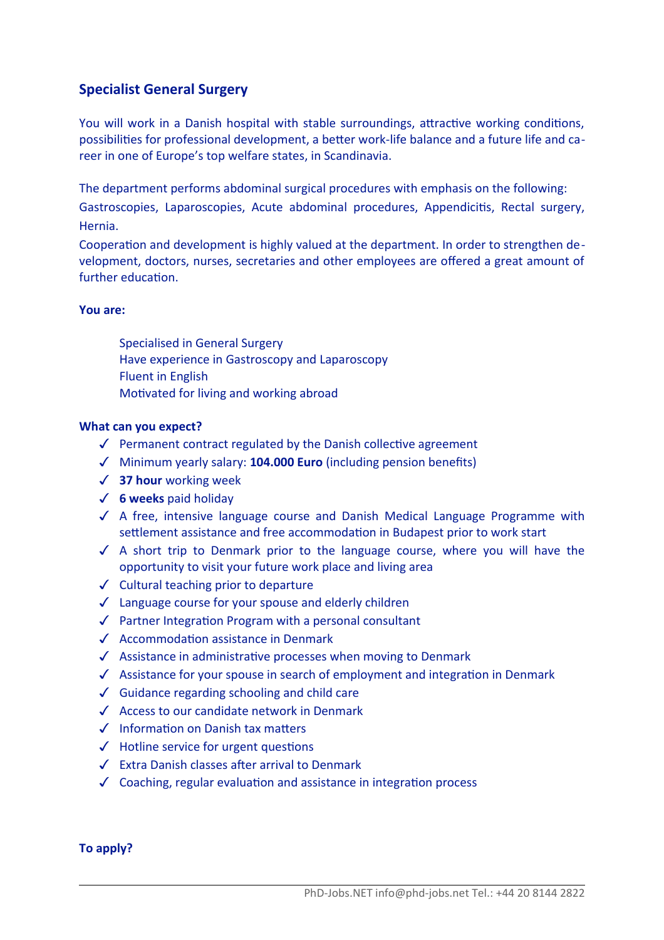## **Specialist General Surgery**

You will work in a Danish hospital with stable surroundings, attractive working conditions, possibilities for professional development, a better work-life balance and a future life and career in one of Europe's top welfare states, in Scandinavia.

The department performs abdominal surgical procedures with emphasis on the following:

Gastroscopies, Laparoscopies, Acute abdominal procedures, Appendicits, Rectal surgery, Hernia.

Cooperation and development is highly valued at the department. In order to strengthen development, doctors, nurses, secretaries and other employees are offered a great amount of further education.

## **You are:**

- $\Box$  Specialised in General Surgery
- $\Box$  Have experience in Gastroscopy and Laparoscopy
- $\Box$  Fluent in English
- $\Box$  Motivated for living and working abroad

## **What can you expect?**

- $\sqrt{\phantom{a}}$  Permanent contract regulated by the Danish collective agreement
- ✓ Minimum yearly salary: **104.000 Euro** (including pension benefts)
- ✓ **37 hour** working week
- ✓ **6 weeks** paid holiday
- ✓ A free, intensive language course and Danish Medical Language Programme with settlement assistance and free accommodation in Budapest prior to work start
- ✓ A short trip to Denmark prior to the language course, where you will have the opportunity to visit your future work place and living area
- ✓ Cultural teaching prior to departure
- ✓ Language course for your spouse and elderly children
- ✓ Partner Integraton Program with a personal consultant
- ✓ Accommodaton assistance in Denmark
- ✓ Assistance in administratve processes when moving to Denmark
- ✓ Assistance for your spouse in search of employment and integraton in Denmark
- ✓ Guidance regarding schooling and child care
- ✓ Access to our candidate network in Denmark
- ✓ Informaton on Danish tax maters
- ✓ Hotline service for urgent questons
- ✓ Extra Danish classes afer arrival to Denmark
- ✓ Coaching, regular evaluaton and assistance in integraton process

**To apply?**